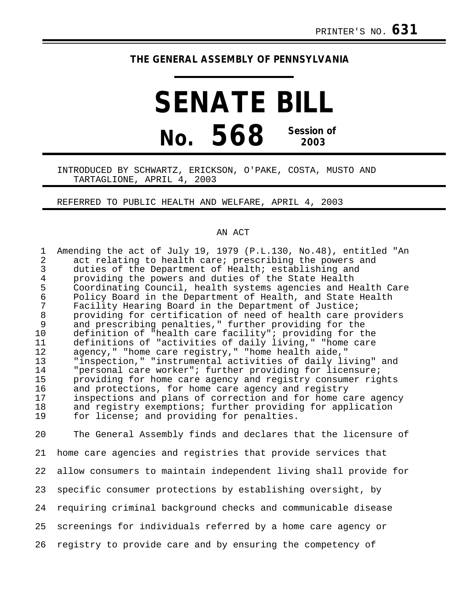# **THE GENERAL ASSEMBLY OF PENNSYLVANIA**

# **SENATE BILL No. 568 Session of 2003**

## INTRODUCED BY SCHWARTZ, ERICKSON, O'PAKE, COSTA, MUSTO AND TARTAGLIONE, APRIL 4, 2003

### REFERRED TO PUBLIC HEALTH AND WELFARE, APRIL 4, 2003

#### AN ACT

| $\mathbf 1$    | Amending the act of July 19, 1979 (P.L.130, No.48), entitled "An |
|----------------|------------------------------------------------------------------|
| $\overline{2}$ | act relating to health care; prescribing the powers and          |
| $\overline{3}$ | duties of the Department of Health; establishing and             |
| $\overline{4}$ | providing the powers and duties of the State Health              |
| 5              | Coordinating Council, health systems agencies and Health Care    |
| $\epsilon$     | Policy Board in the Department of Health, and State Health       |
| 7              | Facility Hearing Board in the Department of Justice;             |
| $\,8\,$        | providing for certification of need of health care providers     |
| 9              | and prescribing penalties," further providing for the            |
| 10             | definition of "health care facility"; providing for the          |
|                |                                                                  |
| 11             | definitions of "activities of daily living," "home care          |
| 12             | agency," "home care registry," "home health aide,"               |
| 13             | "inspection," "instrumental activities of daily living" and      |
| 14             | "personal care worker"; further providing for licensure;         |
| 15             | providing for home care agency and registry consumer rights      |
| 16             | and protections, for home care agency and registry               |
| 17             | inspections and plans of correction and for home care agency     |
| 18             | and registry exemptions; further providing for application       |
| 19             | for license; and providing for penalties.                        |
|                |                                                                  |
| 20             | The General Assembly finds and declares that the licensure of    |
|                |                                                                  |
| 21             | home care agencies and registries that provide services that     |
|                |                                                                  |
| 22             | allow consumers to maintain independent living shall provide for |
|                |                                                                  |
| 23             | specific consumer protections by establishing oversight, by      |
|                |                                                                  |
| 24             | requiring criminal background checks and communicable disease    |
|                |                                                                  |
| 25             | screenings for individuals referred by a home care agency or     |

26 registry to provide care and by ensuring the competency of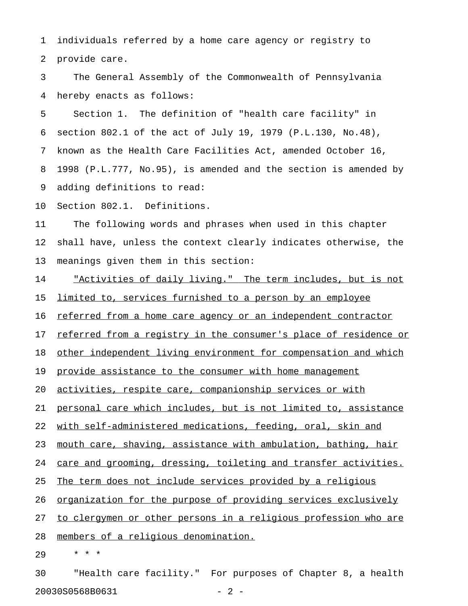1 individuals referred by a home care agency or registry to 2 provide care.

3 The General Assembly of the Commonwealth of Pennsylvania 4 hereby enacts as follows:

5 Section 1. The definition of "health care facility" in 6 section 802.1 of the act of July 19, 1979 (P.L.130, No.48), 7 known as the Health Care Facilities Act, amended October 16, 8 1998 (P.L.777, No.95), is amended and the section is amended by 9 adding definitions to read:

10 Section 802.1. Definitions.

11 The following words and phrases when used in this chapter 12 shall have, unless the context clearly indicates otherwise, the 13 meanings given them in this section:

14 "Activities of daily living." The term includes, but is not 15 limited to, services furnished to a person by an employee

16 referred from a home care agency or an independent contractor

17 referred from a reqistry in the consumer's place of residence or

18 other independent living environment for compensation and which

19 provide assistance to the consumer with home management

20 activities, respite care, companionship services or with

21 personal care which includes, but is not limited to, assistance

22 with self-administered medications, feeding, oral, skin and

23 mouth care, shaving, assistance with ambulation, bathing, hair

24 care and grooming, dressing, toileting and transfer activities.

25 The term does not include services provided by a religious

26 <u>organization for the purpose of providing services exclusively</u>

27 to clergymen or other persons in a religious profession who are

28 members of a religious denomination.

29 \* \* \*

30 "Health care facility." For purposes of Chapter 8, a health 20030S0568B0631 - 2 -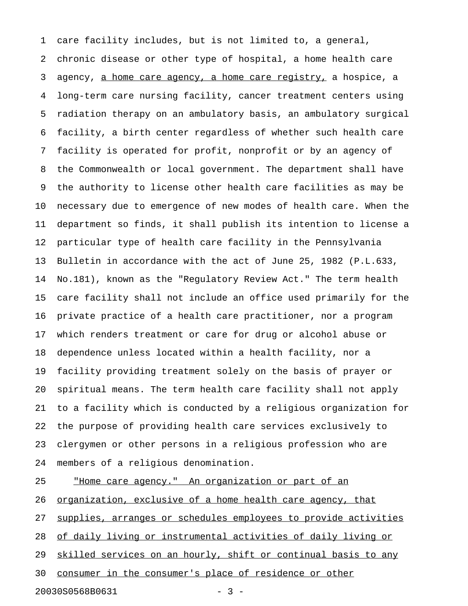1 care facility includes, but is not limited to, a general, 2 chronic disease or other type of hospital, a home health care 3 agency, a home care agency, a home care registry, a hospice, a 4 long-term care nursing facility, cancer treatment centers using 5 radiation therapy on an ambulatory basis, an ambulatory surgical 6 facility, a birth center regardless of whether such health care 7 facility is operated for profit, nonprofit or by an agency of 8 the Commonwealth or local government. The department shall have 9 the authority to license other health care facilities as may be 10 necessary due to emergence of new modes of health care. When the 11 department so finds, it shall publish its intention to license a 12 particular type of health care facility in the Pennsylvania 13 Bulletin in accordance with the act of June 25, 1982 (P.L.633, 14 No.181), known as the "Regulatory Review Act." The term health 15 care facility shall not include an office used primarily for the 16 private practice of a health care practitioner, nor a program 17 which renders treatment or care for drug or alcohol abuse or 18 dependence unless located within a health facility, nor a 19 facility providing treatment solely on the basis of prayer or 20 spiritual means. The term health care facility shall not apply 21 to a facility which is conducted by a religious organization for 22 the purpose of providing health care services exclusively to 23 clergymen or other persons in a religious profession who are 24 members of a religious denomination.

25 "Home care agency." An organization or part of an \_\_\_\_\_\_\_\_\_\_\_\_\_\_\_\_\_\_\_\_\_\_\_\_\_\_\_\_\_\_\_\_\_\_\_\_\_\_\_\_\_\_\_\_\_\_\_\_\_\_ 26 <u>organization, exclusive of a home health care agency, that</u> 27 supplies, arranges or schedules employees to provide activities 28 of daily living or instrumental activities of daily living or 29 skilled services on an hourly, shift or continual basis to any 30 consumer in the consumer's place of residence or other

20030S0568B0631 - 3 -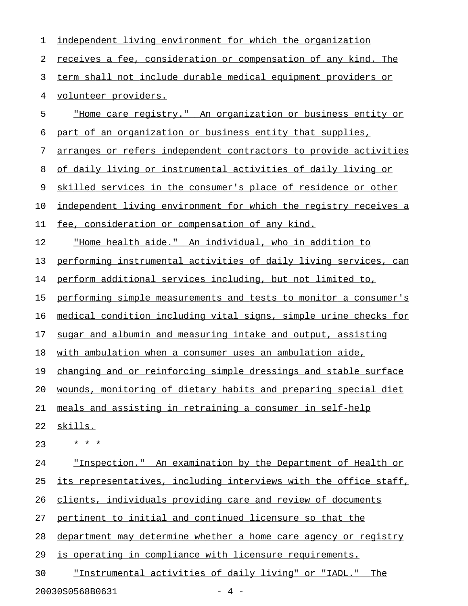| 1  | independent living environment for which the organization             |
|----|-----------------------------------------------------------------------|
| 2  | <u>receives a fee, consideration or compensation of any kind. The</u> |
| 3  | term shall not include durable medical equipment providers or         |
| 4  | volunteer providers.                                                  |
| 5  | "Home care registry." An organization or business entity or           |
| 6  | part of an organization or business entity that supplies,             |
| 7  | arranges or refers independent contractors to provide activities      |
| 8  | of daily living or instrumental activities of daily living or         |
| 9  | skilled services in the consumer's place of residence or other        |
| 10 | independent living environment for which the registry receives a      |
| 11 | fee, consideration or compensation of any kind.                       |
| 12 | "Home health aide." An individual, who in addition to                 |
| 13 | performing instrumental activities of daily living services, can      |
| 14 | perform additional services including, but not limited to,            |
| 15 | performing simple measurements and tests to monitor a consumer's      |
| 16 | medical condition including vital signs, simple urine checks for      |
| 17 | sugar and albumin and measuring intake and output, assisting          |
| 18 | with ambulation when a consumer uses an ambulation aide,              |
| 19 | changing and or reinforcing simple dressings and stable surface       |
| 20 | wounds, monitoring of dietary habits and preparing special diet       |
| 21 | meals and assisting in retraining a consumer in self-help             |
| 22 | skills.                                                               |
| 23 | * * *                                                                 |
| 24 | "Inspection." An examination by the Department of Health or           |
| 25 | its representatives, including interviews with the office staff,      |
| 26 | clients, individuals providing care and review of documents           |
| 27 | pertinent to initial and continued licensure so that the              |
| 28 | department may determine whether a home care agency or registry       |
| 29 | is operating in compliance with licensure requirements.               |
| 30 | "Instrumental activities of daily living" or "IADL."<br>The           |
|    |                                                                       |

20030S0568B0631 - 4 -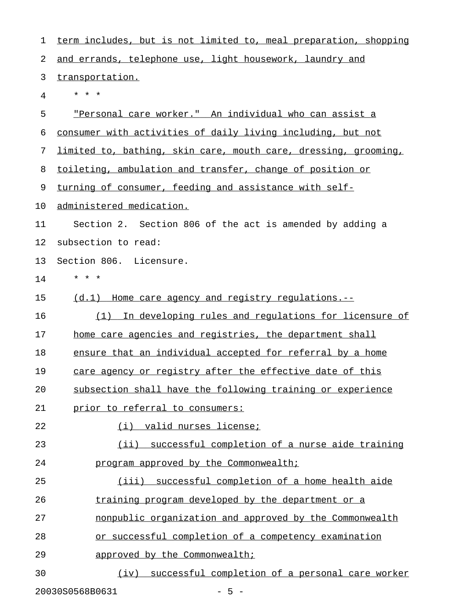| 1  | term includes, but is not limited to, meal preparation, shopping |
|----|------------------------------------------------------------------|
| 2  | and errands, telephone use, light housework, laundry and         |
| 3  | transportation.                                                  |
| 4  | * * *                                                            |
| 5  | "Personal care worker." An individual who can assist a           |
| 6  | consumer with activities of daily living including, but not      |
| 7  | limited to, bathing, skin care, mouth care, dressing, grooming,  |
| 8  | toileting, ambulation and transfer, change of position or        |
| 9  | turning of consumer, feeding and assistance with self-           |
| 10 | administered medication.                                         |
| 11 | Section 2. Section 806 of the act is amended by adding a         |
| 12 | subsection to read:                                              |
| 13 | Section 806. Licensure.                                          |
| 14 | * * *                                                            |
| 15 | (d.1) Home care agency and registry regulations.--               |
| 16 | In developing rules and regulations for licensure of<br>(1)      |
| 17 | home care agencies and registries, the department shall          |
| 18 | ensure that an individual accepted for referral by a home        |
| 19 | care agency or registry after the effective date of this         |
| 20 | subsection shall have the following training or experience       |
| 21 | prior to referral to consumers:                                  |
| 22 | <u>(i) valid nurses license;</u>                                 |
| 23 | (ii) successful completion of a nurse aide training              |
| 24 | program approved by the Commonwealth;                            |
| 25 | (iii) successful completion of a home health aide                |
| 26 | training program developed by the department or a                |
| 27 | nonpublic organization and approved by the Commonwealth          |
| 28 | or successful completion of a competency examination             |
| 29 | approved by the Commonwealth;                                    |
| 30 | (iv) successful completion of a personal care worker             |
|    |                                                                  |

20030S0568B0631 - 5 -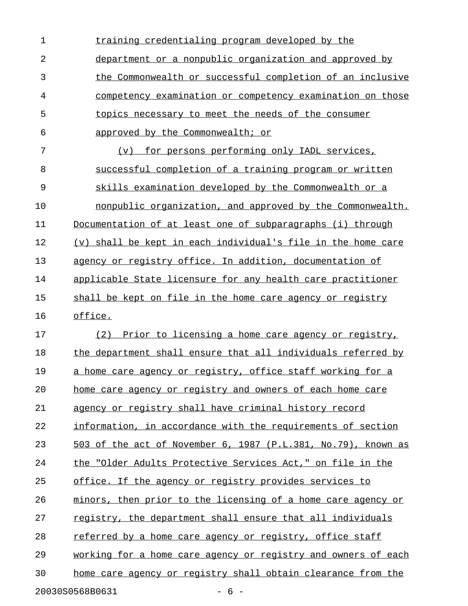| $\mathbf 1$ | training credentialing program developed by the               |
|-------------|---------------------------------------------------------------|
| 2           | department or a nonpublic organization and approved by        |
| 3           | the Commonwealth or successful completion of an inclusive     |
| 4           | competency examination or competency examination on those     |
| 5           | topics necessary to meet the needs of the consumer            |
| 6           | approved by the Commonwealth; or                              |
| 7           | for persons performing only IADL services,<br>$(\nabla)$      |
| 8           | successful completion of a training program or written        |
| 9           | skills examination developed by the Commonwealth or a         |
| 10          | nonpublic organization, and approved by the Commonwealth.     |
| 11          | Documentation of at least one of subparagraphs (i) through    |
| 12          | (v) shall be kept in each individual's file in the home care  |
| 13          | agency or registry office. In addition, documentation of      |
| 14          | applicable State licensure for any health care practitioner   |
| 15          | shall be kept on file in the home care agency or registry     |
| 16          | office.                                                       |
| 17          | (2)<br>Prior to licensing a home care agency or registry,     |
| 18          | the department shall ensure that all individuals referred by  |
| 19          | a home care agency or registry, office staff working for a    |
| 20          | home care agency or registry and owners of each home care     |
| 21          | agency or registry shall have criminal history record         |
| 22          | information, in accordance with the requirements of section   |
| 23          | 503 of the act of November 6, 1987 (P.L.381, No.79), known as |
| 24          | the "Older Adults Protective Services Act," on file in the    |
| 25          | office. If the agency or registry provides services to        |
| 26          | minors, then prior to the licensing of a home care agency or  |
| 27          | registry, the department shall ensure that all individuals    |
| 28          | referred by a home care agency or registry, office staff      |
| 29          | working for a home care agency or registry and owners of each |
| 30          | home care agency or registry shall obtain clearance from the  |
|             | 20030S0568B0631<br>$-6-$                                      |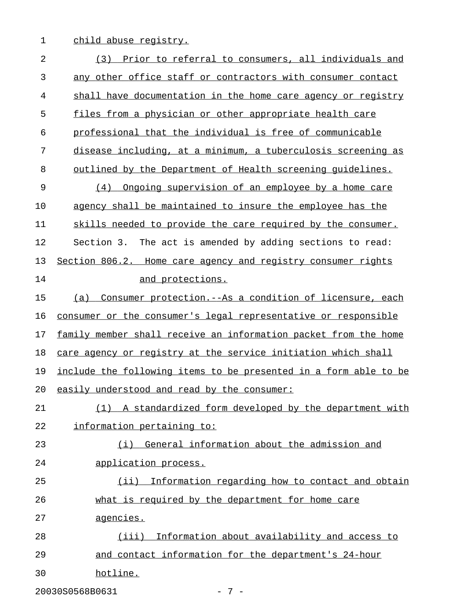1 child abuse registry.

| 2  | Prior to referral to consumers, all individuals and<br>(3)        |
|----|-------------------------------------------------------------------|
| 3  | any other office staff or contractors with consumer contact       |
| 4  | shall have documentation in the home care agency or registry      |
| 5  | files from a physician or other appropriate health care           |
| 6  | professional that the individual is free of communicable          |
| 7  | disease including, at a minimum, a tuberculosis screening as      |
| 8  | <u>outlined by the Department of Health screening quidelines.</u> |
| 9  | (4)<br>Ongoing supervision of an employee by a home care          |
| 10 | agency shall be maintained to insure the employee has the         |
| 11 | skills needed to provide the care required by the consumer.       |
| 12 | Section 3. The act is amended by adding sections to read:         |
| 13 | Section 806.2. Home care agency and registry consumer rights      |
| 14 | and protections.                                                  |
| 15 | Consumer protection.--As a condition of licensure, each<br>(a)    |
| 16 | consumer or the consumer's legal representative or responsible    |
| 17 | family member shall receive an information packet from the home   |
| 18 | care agency or registry at the service initiation which shall     |
| 19 | include the following items to be presented in a form able to be  |
| 20 | easily understood and read by the consumer:                       |
| 21 | (1) A standardized form developed by the department with          |
| 22 | information pertaining to:                                        |
| 23 | (i) General information about the admission and                   |
| 24 | application process.                                              |
| 25 | (ii) Information regarding how to contact and obtain              |
| 26 | what is required by the department for home care                  |
| 27 | agencies.                                                         |
| 28 | Information about availability and access to<br>(iii)             |
| 29 | and contact information for the department's 24-hour              |
| 30 | hotline.                                                          |
|    | 20030S0568B0631<br>$-7-$                                          |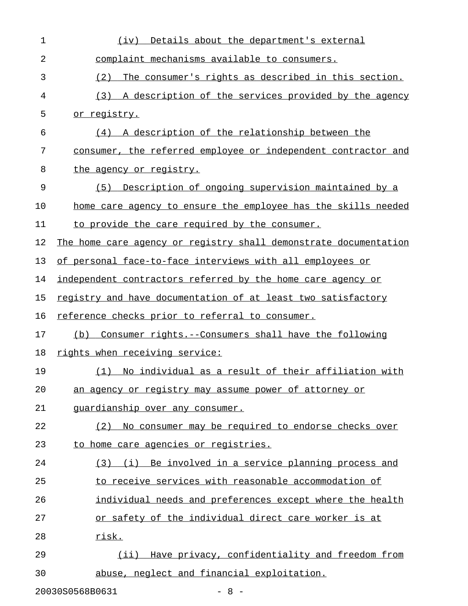| 1  | Details about the department's external<br>(iv)                  |
|----|------------------------------------------------------------------|
| 2  | complaint mechanisms available to consumers.                     |
| 3  | (2)<br>The consumer's rights as described in this section.       |
| 4  | (3) A description of the services provided by the agency         |
| 5  | or registry.                                                     |
| 6  | (4) A description of the relationship between the                |
| 7  | consumer, the referred employee or independent contractor and    |
| 8  | the agency or registry.                                          |
| 9  | Description of ongoing supervision maintained by a<br>(5)        |
| 10 | home care agency to ensure the employee has the skills needed    |
| 11 | to provide the care required by the consumer.                    |
| 12 | The home care agency or registry shall demonstrate documentation |
| 13 | of personal face-to-face interviews with all employees or        |
| 14 | independent contractors referred by the home care agency or      |
| 15 | registry and have documentation of at least two satisfactory     |
| 16 | reference checks prior to referral to consumer.                  |
| 17 | Consumer rights.--Consumers shall have the following<br>(b)      |
| 18 | rights when receiving service:                                   |
| 19 | No individual as a result of their affiliation with<br>(1)       |
| 20 | an agency or registry may assume power of attorney or            |
| 21 | quardianship over any consumer.                                  |
| 22 | No consumer may be required to endorse checks over<br>(2)        |
| 23 | to home care agencies or registries.                             |
| 24 | (3) (i) Be involved in a service planning process and            |
| 25 | to receive services with reasonable accommodation of             |
| 26 | individual needs and preferences except where the health         |
| 27 | or safety of the individual direct care worker is at             |
| 28 | risk.                                                            |
| 29 | (ii) Have privacy, confidentiality and freedom from              |
| 30 | abuse, neglect and financial exploitation.                       |
|    |                                                                  |

20030S0568B0631 - 8 -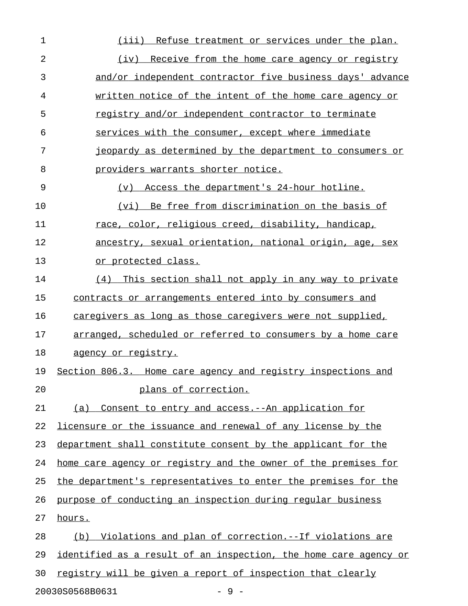| (iii) Refuse treatment or services under the plan.               |
|------------------------------------------------------------------|
| (iv) Receive from the home care agency or registry               |
| and/or independent contractor five business days' advance        |
| written notice of the intent of the home care agency or          |
| registry and/or independent contractor to terminate              |
| services with the consumer, except where immediate               |
| jeopardy as determined by the department to consumers or         |
| providers warrants shorter notice.                               |
| (v) Access the department's 24-hour hotline.                     |
| (vi) Be free from discrimination on the basis of                 |
| race, color, religious creed, disability, handicap,              |
| ancestry, sexual orientation, national origin, age, sex          |
| or protected class.                                              |
| This section shall not apply in any way to private<br>(4)        |
| contracts or arrangements entered into by consumers and          |
| caregivers as long as those caregivers were not supplied,        |
| arranged, scheduled or referred to consumers by a home care      |
| <u>agency or registry.</u>                                       |
| Section 806.3. Home care agency and registry inspections and     |
| plans of correction.                                             |
| (a) Consent to entry and access. -- An application for           |
| licensure or the issuance and renewal of any license by the      |
| department shall constitute consent by the applicant for the     |
| home care agency or registry and the owner of the premises for   |
| the department's representatives to enter the premises for the   |
| purpose of conducting an inspection during regular business      |
| hours.                                                           |
| Violations and plan of correction. -- If violations are<br>(b)   |
| identified as a result of an inspection, the home care agency or |
| registry will be given a report of inspection that clearly       |
|                                                                  |

20030S0568B0631 - 9 -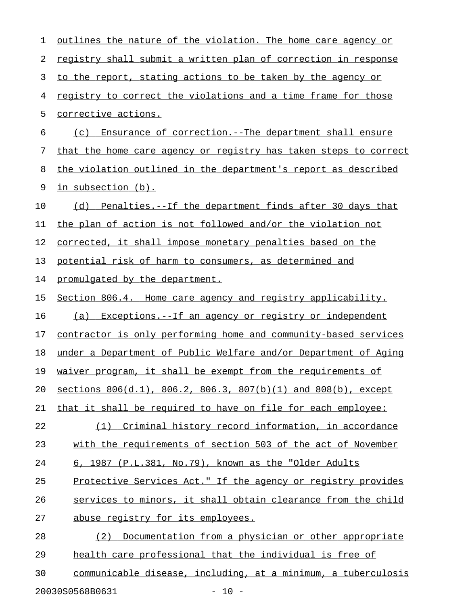| 1  | outlines the nature of the violation. The home care agency or    |
|----|------------------------------------------------------------------|
| 2  | registry shall submit a written plan of correction in response   |
| 3  | to the report, stating actions to be taken by the agency or      |
| 4  | registry to correct the violations and a time frame for those    |
| 5  | <u>corrective actions.</u>                                       |
| 6  | Ensurance of correction.--The department shall ensure<br>(c)     |
| 7  | that the home care agency or registry has taken steps to correct |
| 8  | the violation outlined in the department's report as described   |
| 9  | in subsection (b).                                               |
| 10 | (d) Penalties.--If the department finds after 30 days that       |
| 11 | the plan of action is not followed and/or the violation not      |
| 12 | corrected, it shall impose monetary penalties based on the       |
| 13 | potential risk of harm to consumers, as determined and           |
| 14 | promulgated by the department.                                   |
| 15 | Section 806.4. Home care agency and registry applicability.      |
| 16 | (a) Exceptions.--If an agency or registry or independent         |
| 17 | contractor is only performing home and community-based services  |
| 18 | under a Department of Public Welfare and/or Department of Aging  |
| 19 | waiver program, it shall be exempt from the requirements of      |
| 20 | sections 806(d.1), 806.2, 806.3, 807(b)(1) and 808(b), except    |
| 21 | that it shall be required to have on file for each employee:     |
| 22 | (1) Criminal history record information, in accordance           |
| 23 | with the requirements of section 503 of the act of November      |
| 24 | 6, 1987 (P.L.381, No.79), known as the "Older Adults             |
| 25 | Protective Services Act." If the agency or registry provides     |
| 26 | services to minors, it shall obtain clearance from the child     |
| 27 | abuse registry for its employees.                                |
| 28 | (2) Documentation from a physician or other appropriate          |
| 29 | health care professional that the individual is free of          |
| 30 | communicable disease, including, at a minimum, a tuberculosis    |
|    | $-10 -$<br>20030S0568B0631                                       |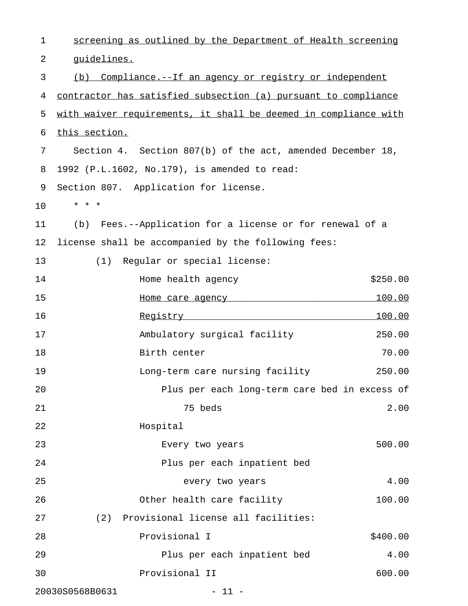| 1  | screening as outlined by the Department of Health screening                                                                                                |
|----|------------------------------------------------------------------------------------------------------------------------------------------------------------|
| 2  | quidelines.                                                                                                                                                |
| 3  | Compliance.--If an agency or registry or independent<br>(b)                                                                                                |
| 4  | contractor has satisfied subsection (a) pursuant to compliance                                                                                             |
| 5  | with waiver requirements, it shall be deemed in compliance with                                                                                            |
| 6  | this section.                                                                                                                                              |
| 7  | Section 4. Section 807(b) of the act, amended December 18,                                                                                                 |
| 8  | 1992 (P.L.1602, No.179), is amended to read:                                                                                                               |
| 9  | Section 807. Application for license.                                                                                                                      |
| 10 | * * *                                                                                                                                                      |
| 11 | (b) Fees.--Application for a license or for renewal of a                                                                                                   |
| 12 | license shall be accompanied by the following fees:                                                                                                        |
| 13 | Regular or special license:<br>(1)                                                                                                                         |
| 14 | \$250.00<br>Home health agency                                                                                                                             |
| 15 | <u> 100.00</u>                                                                                                                                             |
| 16 | <u> 100.00</u><br><u>Registry</u><br><u> 1989 - Johann Harry Harry Harry Harry Harry Harry Harry Harry Harry Harry Harry Harry Harry Harry Harry Harry</u> |
| 17 | Ambulatory surgical facility<br>250.00                                                                                                                     |
| 18 | Birth center<br>70.00                                                                                                                                      |
| 19 | Long-term care nursing facility<br>250.00                                                                                                                  |
| 20 | Plus per each long-term care bed in excess of                                                                                                              |
| 21 | 75 beds<br>2.00                                                                                                                                            |
| 22 | Hospital                                                                                                                                                   |
| 23 | 500.00<br>Every two years                                                                                                                                  |
| 24 | Plus per each inpatient bed                                                                                                                                |
| 25 | 4.00<br>every two years                                                                                                                                    |
| 26 | Other health care facility<br>100.00                                                                                                                       |
| 27 | (2) Provisional license all facilities:                                                                                                                    |
| 28 | Provisional I<br>\$400.00                                                                                                                                  |
| 29 | 4.00<br>Plus per each inpatient bed                                                                                                                        |
| 30 | Provisional II<br>600.00                                                                                                                                   |
|    | 20030S0568B0631<br>$-11 -$                                                                                                                                 |